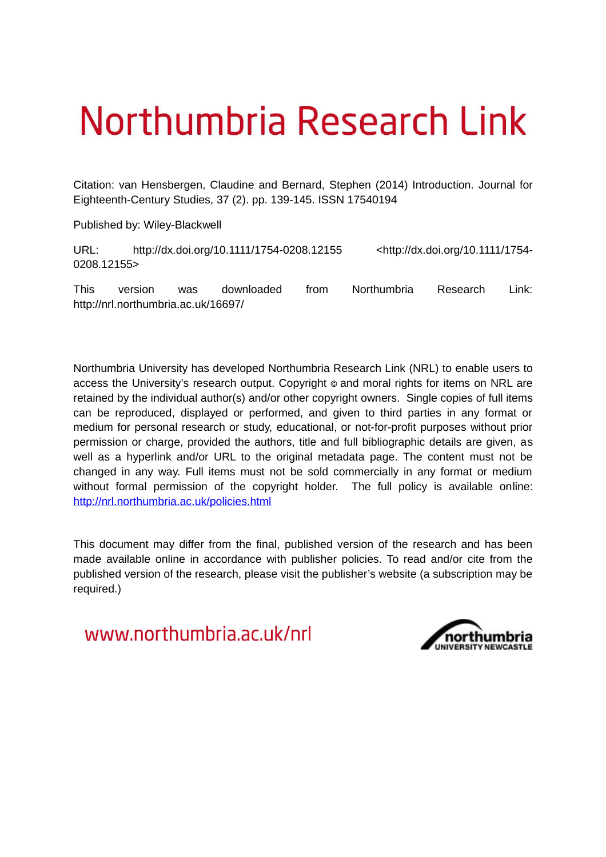# Northumbria Research Link

Citation: van Hensbergen, Claudine and Bernard, Stephen (2014) Introduction. Journal for Eighteenth-Century Studies, 37 (2). pp. 139-145. ISSN 17540194

Published by: Wiley-Blackwell

URL: http://dx.doi.org/10.1111/1754-0208.12155 <http://dx.doi.org/10.1111/1754- 0208.12155>

This version was downloaded from Northumbria Research Link: http://nrl.northumbria.ac.uk/16697/

Northumbria University has developed Northumbria Research Link (NRL) to enable users to access the University's research output. Copyright  $\circ$  and moral rights for items on NRL are retained by the individual author(s) and/or other copyright owners. Single copies of full items can be reproduced, displayed or performed, and given to third parties in any format or medium for personal research or study, educational, or not-for-profit purposes without prior permission or charge, provided the authors, title and full bibliographic details are given, as well as a hyperlink and/or URL to the original metadata page. The content must not be changed in any way. Full items must not be sold commercially in any format or medium without formal permission of the copyright holder. The full policy is available online: <http://nrl.northumbria.ac.uk/policies.html>

This document may differ from the final, published version of the research and has been made available online in accordance with publisher policies. To read and/or cite from the published version of the research, please visit the publisher's website (a subscription may be required.)

www.northumbria.ac.uk/nrl

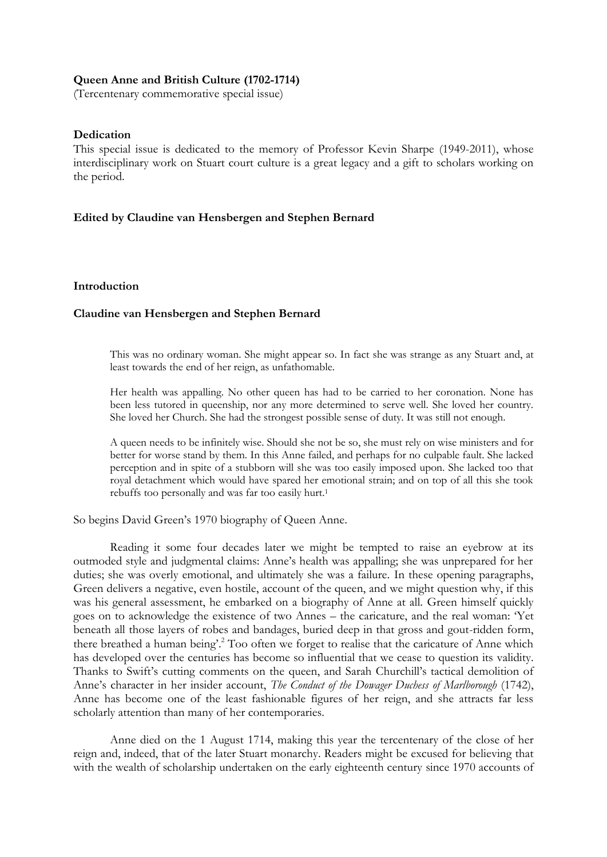#### **Queen Anne and British Culture (1702-1714)**

(Tercentenary commemorative special issue)

#### **Dedication**

This special issue is dedicated to the memory of Professor Kevin Sharpe (1949-2011), whose interdisciplinary work on Stuart court culture is a great legacy and a gift to scholars working on the period.

## **Edited by Claudine van Hensbergen and Stephen Bernard**

## **Introduction**

## **Claudine van Hensbergen and Stephen Bernard**

This was no ordinary woman. She might appear so. In fact she was strange as any Stuart and, at least towards the end of her reign, as unfathomable.

Her health was appalling. No other queen has had to be carried to her coronation. None has been less tutored in queenship, nor any more determined to serve well. She loved her country. She loved her Church. She had the strongest possible sense of duty. It was still not enough.

A queen needs to be infinitely wise. Should she not be so, she must rely on wise ministers and for better for worse stand by them. In this Anne failed, and perhaps for no culpable fault. She lacked perception and in spite of a stubborn will she was too easily imposed upon. She lacked too that royal detachment which would have spared her emotional strain; and on top of all this she took rebuffs too personally and was far too easily hurt.<sup>1</sup>

So begins David Green's 1970 biography of Queen Anne.

Reading it some four decades later we might be tempted to raise an eyebrow at its outmoded style and judgmental claims: Anne's health was appalling; she was unprepared for her duties; she was overly emotional, and ultimately she was a failure. In these opening paragraphs, Green delivers a negative, even hostile, account of the queen, and we might question why, if this was his general assessment, he embarked on a biography of Anne at all. Green himself quickly goes on to acknowledge the existence of two Annes – the caricature, and the real woman: 'Yet beneath all those layers of robes and bandages, buried deep in that gross and gout-ridden form, there breathed a human being'.<sup>2</sup> Too often we forget to realise that the caricature of Anne which has developed over the centuries has become so influential that we cease to question its validity. Thanks to Swift's cutting comments on the queen, and Sarah Churchill's tactical demolition of Anne's character in her insider account, *The Conduct of the Dowager Duchess of Marlborough* (1742), Anne has become one of the least fashionable figures of her reign, and she attracts far less scholarly attention than many of her contemporaries.

Anne died on the 1 August 1714, making this year the tercentenary of the close of her reign and, indeed, that of the later Stuart monarchy. Readers might be excused for believing that with the wealth of scholarship undertaken on the early eighteenth century since 1970 accounts of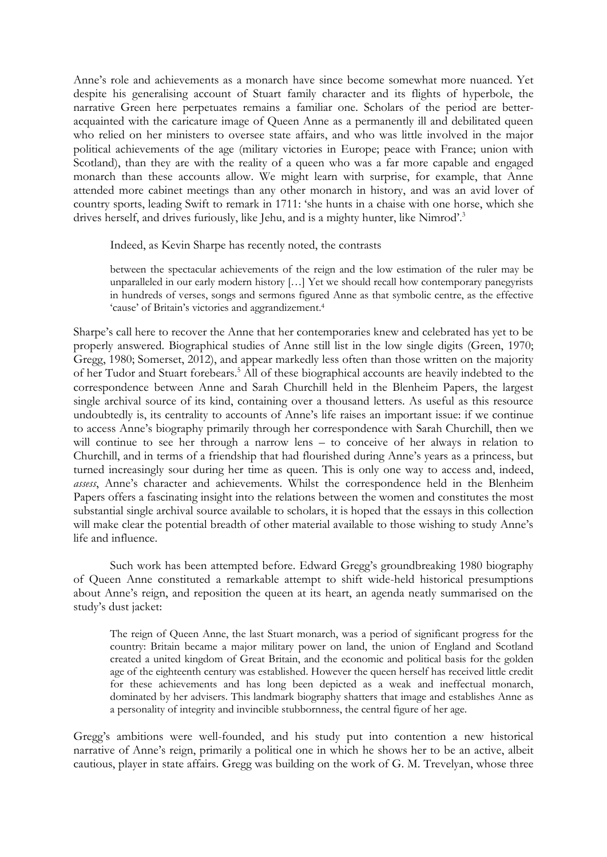Anne's role and achievements as a monarch have since become somewhat more nuanced. Yet despite his generalising account of Stuart family character and its flights of hyperbole, the narrative Green here perpetuates remains a familiar one. Scholars of the period are betteracquainted with the caricature image of Queen Anne as a permanently ill and debilitated queen who relied on her ministers to oversee state affairs, and who was little involved in the major political achievements of the age (military victories in Europe; peace with France; union with Scotland), than they are with the reality of a queen who was a far more capable and engaged monarch than these accounts allow. We might learn with surprise, for example, that Anne attended more cabinet meetings than any other monarch in history, and was an avid lover of country sports, leading Swift to remark in 1711: 'she hunts in a chaise with one horse, which she drives herself, and drives furiously, like Jehu, and is a mighty hunter, like Nimrod'.<sup>3</sup>

Indeed, as Kevin Sharpe has recently noted, the contrasts

between the spectacular achievements of the reign and the low estimation of the ruler may be unparalleled in our early modern history […] Yet we should recall how contemporary panegyrists in hundreds of verses, songs and sermons figured Anne as that symbolic centre, as the effective 'cause' of Britain's victories and aggrandizement.<sup>4</sup>

Sharpe's call here to recover the Anne that her contemporaries knew and celebrated has yet to be properly answered. Biographical studies of Anne still list in the low single digits (Green, 1970; Gregg, 1980; Somerset, 2012), and appear markedly less often than those written on the majority of her Tudor and Stuart forebears.<sup>5</sup> All of these biographical accounts are heavily indebted to the correspondence between Anne and Sarah Churchill held in the Blenheim Papers, the largest single archival source of its kind, containing over a thousand letters. As useful as this resource undoubtedly is, its centrality to accounts of Anne's life raises an important issue: if we continue to access Anne's biography primarily through her correspondence with Sarah Churchill, then we will continue to see her through a narrow lens – to conceive of her always in relation to Churchill, and in terms of a friendship that had flourished during Anne's years as a princess, but turned increasingly sour during her time as queen. This is only one way to access and, indeed, *assess*, Anne's character and achievements. Whilst the correspondence held in the Blenheim Papers offers a fascinating insight into the relations between the women and constitutes the most substantial single archival source available to scholars, it is hoped that the essays in this collection will make clear the potential breadth of other material available to those wishing to study Anne's life and influence.

Such work has been attempted before. Edward Gregg's groundbreaking 1980 biography of Queen Anne constituted a remarkable attempt to shift wide-held historical presumptions about Anne's reign, and reposition the queen at its heart, an agenda neatly summarised on the study's dust jacket:

The reign of Queen Anne, the last Stuart monarch, was a period of significant progress for the country: Britain became a major military power on land, the union of England and Scotland created a united kingdom of Great Britain, and the economic and political basis for the golden age of the eighteenth century was established. However the queen herself has received little credit for these achievements and has long been depicted as a weak and ineffectual monarch, dominated by her advisers. This landmark biography shatters that image and establishes Anne as a personality of integrity and invincible stubbornness, the central figure of her age.

Gregg's ambitions were well-founded, and his study put into contention a new historical narrative of Anne's reign, primarily a political one in which he shows her to be an active, albeit cautious, player in state affairs. Gregg was building on the work of G. M. Trevelyan, whose three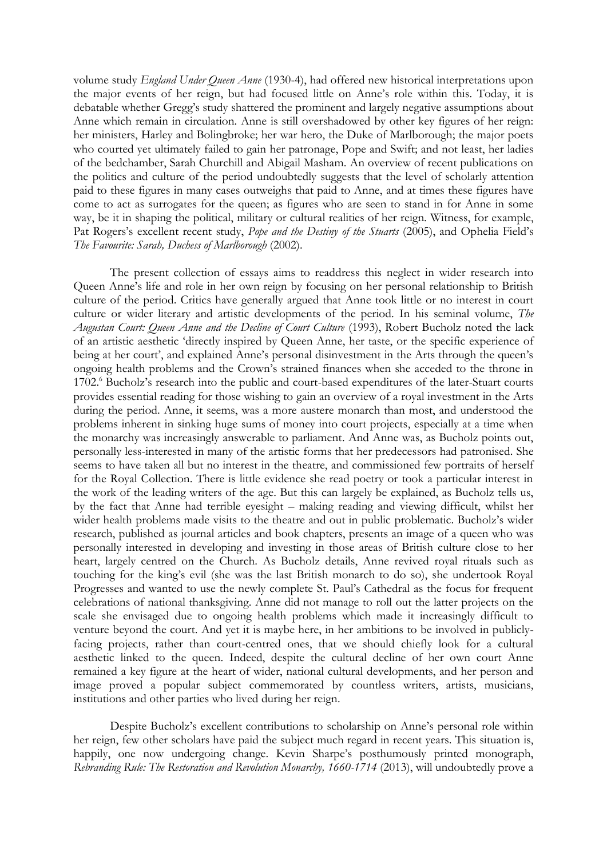volume study *England Under Queen Anne* (1930-4), had offered new historical interpretations upon the major events of her reign, but had focused little on Anne's role within this. Today, it is debatable whether Gregg's study shattered the prominent and largely negative assumptions about Anne which remain in circulation. Anne is still overshadowed by other key figures of her reign: her ministers, Harley and Bolingbroke; her war hero, the Duke of Marlborough; the major poets who courted yet ultimately failed to gain her patronage, Pope and Swift; and not least, her ladies of the bedchamber, Sarah Churchill and Abigail Masham. An overview of recent publications on the politics and culture of the period undoubtedly suggests that the level of scholarly attention paid to these figures in many cases outweighs that paid to Anne, and at times these figures have come to act as surrogates for the queen; as figures who are seen to stand in for Anne in some way, be it in shaping the political, military or cultural realities of her reign. Witness, for example, Pat Rogers's excellent recent study, *Pope and the Destiny of the Stuarts* (2005), and Ophelia Field's *The Favourite: Sarah, Duchess of Marlborough* (2002).

The present collection of essays aims to readdress this neglect in wider research into Queen Anne's life and role in her own reign by focusing on her personal relationship to British culture of the period. Critics have generally argued that Anne took little or no interest in court culture or wider literary and artistic developments of the period. In his seminal volume, *The Augustan Court: Queen Anne and the Decline of Court Culture* (1993), Robert Bucholz noted the lack of an artistic aesthetic 'directly inspired by Queen Anne, her taste, or the specific experience of being at her court', and explained Anne's personal disinvestment in the Arts through the queen's ongoing health problems and the Crown's strained finances when she acceded to the throne in 1702.<sup>6</sup> Bucholz's research into the public and court-based expenditures of the later-Stuart courts provides essential reading for those wishing to gain an overview of a royal investment in the Arts during the period. Anne, it seems, was a more austere monarch than most, and understood the problems inherent in sinking huge sums of money into court projects, especially at a time when the monarchy was increasingly answerable to parliament. And Anne was, as Bucholz points out, personally less-interested in many of the artistic forms that her predecessors had patronised. She seems to have taken all but no interest in the theatre, and commissioned few portraits of herself for the Royal Collection. There is little evidence she read poetry or took a particular interest in the work of the leading writers of the age. But this can largely be explained, as Bucholz tells us, by the fact that Anne had terrible eyesight – making reading and viewing difficult, whilst her wider health problems made visits to the theatre and out in public problematic. Bucholz's wider research, published as journal articles and book chapters, presents an image of a queen who was personally interested in developing and investing in those areas of British culture close to her heart, largely centred on the Church. As Bucholz details, Anne revived royal rituals such as touching for the king's evil (she was the last British monarch to do so), she undertook Royal Progresses and wanted to use the newly complete St. Paul's Cathedral as the focus for frequent celebrations of national thanksgiving. Anne did not manage to roll out the latter projects on the scale she envisaged due to ongoing health problems which made it increasingly difficult to venture beyond the court. And yet it is maybe here, in her ambitions to be involved in publiclyfacing projects, rather than court-centred ones, that we should chiefly look for a cultural aesthetic linked to the queen. Indeed, despite the cultural decline of her own court Anne remained a key figure at the heart of wider, national cultural developments, and her person and image proved a popular subject commemorated by countless writers, artists, musicians, institutions and other parties who lived during her reign.

Despite Bucholz's excellent contributions to scholarship on Anne's personal role within her reign, few other scholars have paid the subject much regard in recent years. This situation is, happily, one now undergoing change. Kevin Sharpe's posthumously printed monograph, *Rebranding Rule: The Restoration and Revolution Monarchy, 1660-1714* (2013), will undoubtedly prove a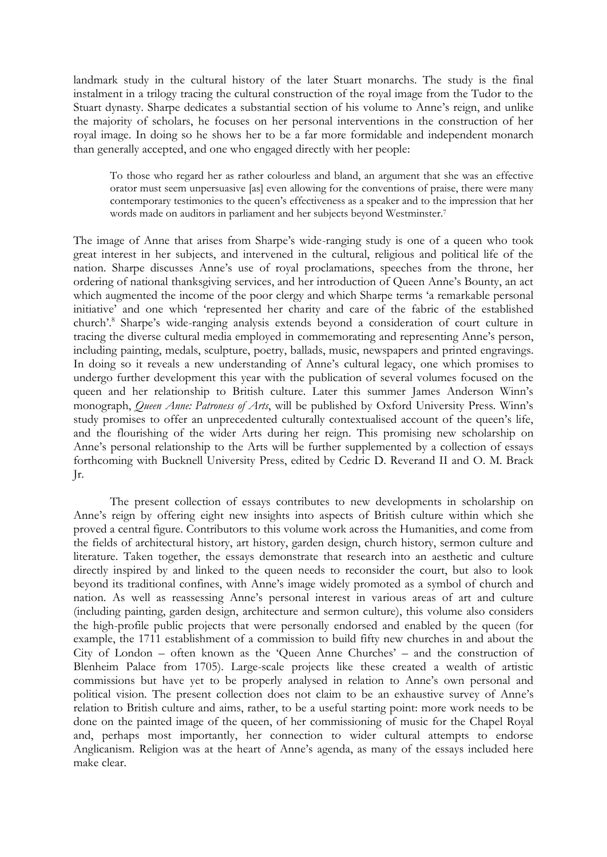landmark study in the cultural history of the later Stuart monarchs. The study is the final instalment in a trilogy tracing the cultural construction of the royal image from the Tudor to the Stuart dynasty. Sharpe dedicates a substantial section of his volume to Anne's reign, and unlike the majority of scholars, he focuses on her personal interventions in the construction of her royal image. In doing so he shows her to be a far more formidable and independent monarch than generally accepted, and one who engaged directly with her people:

To those who regard her as rather colourless and bland, an argument that she was an effective orator must seem unpersuasive [as] even allowing for the conventions of praise, there were many contemporary testimonies to the queen's effectiveness as a speaker and to the impression that her words made on auditors in parliament and her subjects beyond Westminster.<sup>7</sup>

The image of Anne that arises from Sharpe's wide-ranging study is one of a queen who took great interest in her subjects, and intervened in the cultural, religious and political life of the nation. Sharpe discusses Anne's use of royal proclamations, speeches from the throne, her ordering of national thanksgiving services, and her introduction of Queen Anne's Bounty, an act which augmented the income of the poor clergy and which Sharpe terms 'a remarkable personal initiative' and one which 'represented her charity and care of the fabric of the established church'. 8 Sharpe's wide-ranging analysis extends beyond a consideration of court culture in tracing the diverse cultural media employed in commemorating and representing Anne's person, including painting, medals, sculpture, poetry, ballads, music, newspapers and printed engravings. In doing so it reveals a new understanding of Anne's cultural legacy, one which promises to undergo further development this year with the publication of several volumes focused on the queen and her relationship to British culture. Later this summer James Anderson Winn's monograph, *Queen Anne: Patroness of Arts*, will be published by Oxford University Press. Winn's study promises to offer an unprecedented culturally contextualised account of the queen's life, and the flourishing of the wider Arts during her reign. This promising new scholarship on Anne's personal relationship to the Arts will be further supplemented by a collection of essays forthcoming with Bucknell University Press, edited by Cedric D. Reverand II and O. M. Brack Jr.

The present collection of essays contributes to new developments in scholarship on Anne's reign by offering eight new insights into aspects of British culture within which she proved a central figure. Contributors to this volume work across the Humanities, and come from the fields of architectural history, art history, garden design, church history, sermon culture and literature. Taken together, the essays demonstrate that research into an aesthetic and culture directly inspired by and linked to the queen needs to reconsider the court, but also to look beyond its traditional confines, with Anne's image widely promoted as a symbol of church and nation. As well as reassessing Anne's personal interest in various areas of art and culture (including painting, garden design, architecture and sermon culture), this volume also considers the high-profile public projects that were personally endorsed and enabled by the queen (for example, the 1711 establishment of a commission to build fifty new churches in and about the City of London – often known as the 'Queen Anne Churches' – and the construction of Blenheim Palace from 1705). Large-scale projects like these created a wealth of artistic commissions but have yet to be properly analysed in relation to Anne's own personal and political vision. The present collection does not claim to be an exhaustive survey of Anne's relation to British culture and aims, rather, to be a useful starting point: more work needs to be done on the painted image of the queen, of her commissioning of music for the Chapel Royal and, perhaps most importantly, her connection to wider cultural attempts to endorse Anglicanism. Religion was at the heart of Anne's agenda, as many of the essays included here make clear.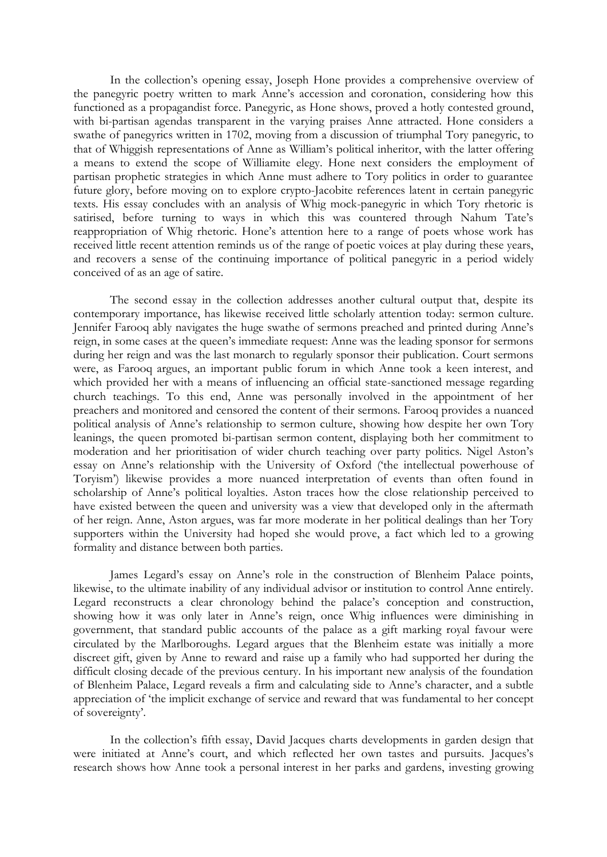In the collection's opening essay, Joseph Hone provides a comprehensive overview of the panegyric poetry written to mark Anne's accession and coronation, considering how this functioned as a propagandist force. Panegyric, as Hone shows, proved a hotly contested ground, with bi-partisan agendas transparent in the varying praises Anne attracted. Hone considers a swathe of panegyrics written in 1702, moving from a discussion of triumphal Tory panegyric, to that of Whiggish representations of Anne as William's political inheritor, with the latter offering a means to extend the scope of Williamite elegy. Hone next considers the employment of partisan prophetic strategies in which Anne must adhere to Tory politics in order to guarantee future glory, before moving on to explore crypto-Jacobite references latent in certain panegyric texts. His essay concludes with an analysis of Whig mock-panegyric in which Tory rhetoric is satirised, before turning to ways in which this was countered through Nahum Tate's reappropriation of Whig rhetoric. Hone's attention here to a range of poets whose work has received little recent attention reminds us of the range of poetic voices at play during these years, and recovers a sense of the continuing importance of political panegyric in a period widely conceived of as an age of satire.

The second essay in the collection addresses another cultural output that, despite its contemporary importance, has likewise received little scholarly attention today: sermon culture. Jennifer Farooq ably navigates the huge swathe of sermons preached and printed during Anne's reign, in some cases at the queen's immediate request: Anne was the leading sponsor for sermons during her reign and was the last monarch to regularly sponsor their publication. Court sermons were, as Farooq argues, an important public forum in which Anne took a keen interest, and which provided her with a means of influencing an official state-sanctioned message regarding church teachings. To this end, Anne was personally involved in the appointment of her preachers and monitored and censored the content of their sermons. Farooq provides a nuanced political analysis of Anne's relationship to sermon culture, showing how despite her own Tory leanings, the queen promoted bi-partisan sermon content, displaying both her commitment to moderation and her prioritisation of wider church teaching over party politics. Nigel Aston's essay on Anne's relationship with the University of Oxford ('the intellectual powerhouse of Toryism') likewise provides a more nuanced interpretation of events than often found in scholarship of Anne's political loyalties. Aston traces how the close relationship perceived to have existed between the queen and university was a view that developed only in the aftermath of her reign. Anne, Aston argues, was far more moderate in her political dealings than her Tory supporters within the University had hoped she would prove, a fact which led to a growing formality and distance between both parties.

James Legard's essay on Anne's role in the construction of Blenheim Palace points, likewise, to the ultimate inability of any individual advisor or institution to control Anne entirely. Legard reconstructs a clear chronology behind the palace's conception and construction, showing how it was only later in Anne's reign, once Whig influences were diminishing in government, that standard public accounts of the palace as a gift marking royal favour were circulated by the Marlboroughs. Legard argues that the Blenheim estate was initially a more discreet gift, given by Anne to reward and raise up a family who had supported her during the difficult closing decade of the previous century. In his important new analysis of the foundation of Blenheim Palace, Legard reveals a firm and calculating side to Anne's character, and a subtle appreciation of 'the implicit exchange of service and reward that was fundamental to her concept of sovereignty'.

In the collection's fifth essay, David Jacques charts developments in garden design that were initiated at Anne's court, and which reflected her own tastes and pursuits. Jacques's research shows how Anne took a personal interest in her parks and gardens, investing growing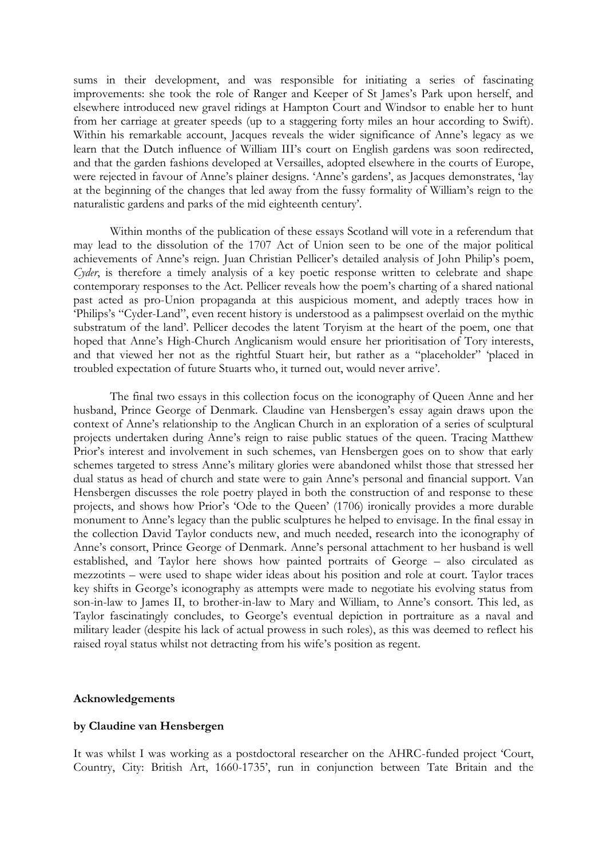sums in their development, and was responsible for initiating a series of fascinating improvements: she took the role of Ranger and Keeper of St James's Park upon herself, and elsewhere introduced new gravel ridings at Hampton Court and Windsor to enable her to hunt from her carriage at greater speeds (up to a staggering forty miles an hour according to Swift). Within his remarkable account, Jacques reveals the wider significance of Anne's legacy as we learn that the Dutch influence of William III's court on English gardens was soon redirected, and that the garden fashions developed at Versailles, adopted elsewhere in the courts of Europe, were rejected in favour of Anne's plainer designs. 'Anne's gardens', as Jacques demonstrates, 'lay at the beginning of the changes that led away from the fussy formality of William's reign to the naturalistic gardens and parks of the mid eighteenth century'.

Within months of the publication of these essays Scotland will vote in a referendum that may lead to the dissolution of the 1707 Act of Union seen to be one of the major political achievements of Anne's reign. Juan Christian Pellicer's detailed analysis of John Philip's poem, *Cyder*, is therefore a timely analysis of a key poetic response written to celebrate and shape contemporary responses to the Act. Pellicer reveals how the poem's charting of a shared national past acted as pro-Union propaganda at this auspicious moment, and adeptly traces how in 'Philips's "Cyder-Land", even recent history is understood as a palimpsest overlaid on the mythic substratum of the land'. Pellicer decodes the latent Toryism at the heart of the poem, one that hoped that Anne's High-Church Anglicanism would ensure her prioritisation of Tory interests, and that viewed her not as the rightful Stuart heir, but rather as a "placeholder" 'placed in troubled expectation of future Stuarts who, it turned out, would never arrive'.

The final two essays in this collection focus on the iconography of Queen Anne and her husband, Prince George of Denmark. Claudine van Hensbergen's essay again draws upon the context of Anne's relationship to the Anglican Church in an exploration of a series of sculptural projects undertaken during Anne's reign to raise public statues of the queen. Tracing Matthew Prior's interest and involvement in such schemes, van Hensbergen goes on to show that early schemes targeted to stress Anne's military glories were abandoned whilst those that stressed her dual status as head of church and state were to gain Anne's personal and financial support. Van Hensbergen discusses the role poetry played in both the construction of and response to these projects, and shows how Prior's 'Ode to the Queen' (1706) ironically provides a more durable monument to Anne's legacy than the public sculptures he helped to envisage. In the final essay in the collection David Taylor conducts new, and much needed, research into the iconography of Anne's consort, Prince George of Denmark. Anne's personal attachment to her husband is well established, and Taylor here shows how painted portraits of George – also circulated as mezzotints – were used to shape wider ideas about his position and role at court. Taylor traces key shifts in George's iconography as attempts were made to negotiate his evolving status from son-in-law to James II, to brother-in-law to Mary and William, to Anne's consort. This led, as Taylor fascinatingly concludes, to George's eventual depiction in portraiture as a naval and military leader (despite his lack of actual prowess in such roles), as this was deemed to reflect his raised royal status whilst not detracting from his wife's position as regent.

#### **Acknowledgements**

#### **by Claudine van Hensbergen**

It was whilst I was working as a postdoctoral researcher on the AHRC-funded project 'Court, Country, City: British Art, 1660-1735', run in conjunction between Tate Britain and the